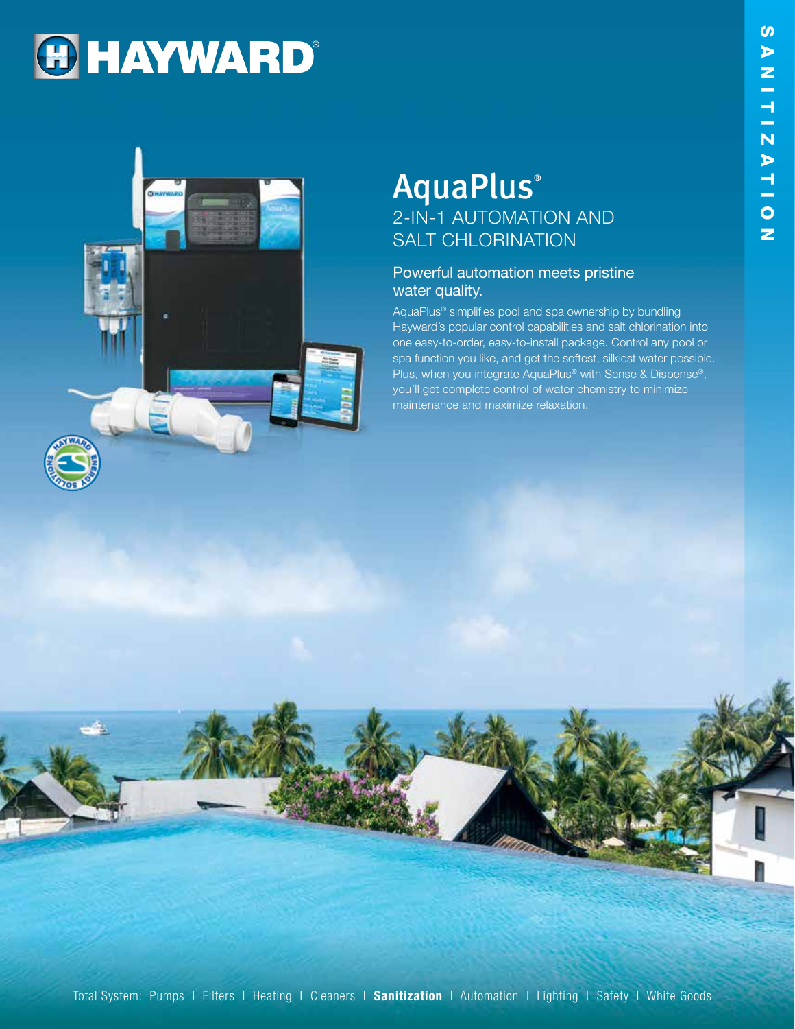# **HAYWARD®**



# **AquaPlus**® 2-IN-1 AUTOMATION AND SALT CHLORINATION

#### Powerful automation meets pristine water quality.

AquaPlus® simplifies pool and spa ownership by bundling Hayward's popular control capabilities and salt chlorination into one easy-to-order, easy-to-install package. Control any pool or spa function you like, and get the softest, silkiest water possible. Plus, when you integrate AquaPlus® with Sense & Dispense®, you'll get complete control of water chemistry to minimize maintenance and maximize relaxation.